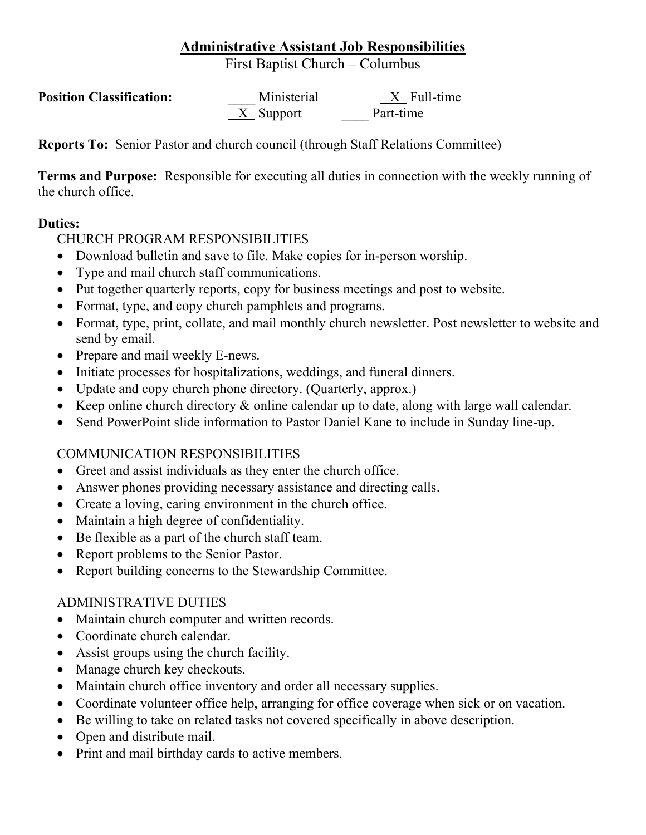# **Administrative Assistant Job Responsibilities**

First Baptist Church – Columbus

| <b>Position Classification:</b> | Ministerial | X Full-time |
|---------------------------------|-------------|-------------|
|                                 | $X$ Support | Part-time   |

**Reports To:** Senior Pastor and church council (through Staff Relations Committee)

**Terms and Purpose:** Responsible for executing all duties in connection with the weekly running of the church office.

#### **Duties:**

#### CHURCH PROGRAM RESPONSIBILITIES

- Download bulletin and save to file. Make copies for in-person worship.
- Type and mail church staff communications.
- Put together quarterly reports, copy for business meetings and post to website.
- Format, type, and copy church pamphlets and programs.
- Format, type, print, collate, and mail monthly church newsletter. Post newsletter to website and send by email.
- Prepare and mail weekly E-news.
- Initiate processes for hospitalizations, weddings, and funeral dinners.
- Update and copy church phone directory. (Quarterly, approx.)
- Keep online church directory & online calendar up to date, along with large wall calendar.
- Send PowerPoint slide information to Pastor Daniel Kane to include in Sunday line-up.

### COMMUNICATION RESPONSIBILITIES

- Greet and assist individuals as they enter the church office.
- Answer phones providing necessary assistance and directing calls.
- Create a loving, caring environment in the church office.
- Maintain a high degree of confidentiality.
- Be flexible as a part of the church staff team.
- Report problems to the Senior Pastor.
- Report building concerns to the Stewardship Committee.

### ADMINISTRATIVE DUTIES

- Maintain church computer and written records.
- Coordinate church calendar.
- Assist groups using the church facility.
- Manage church key checkouts.
- Maintain church office inventory and order all necessary supplies.
- Coordinate volunteer office help, arranging for office coverage when sick or on vacation.
- Be willing to take on related tasks not covered specifically in above description.
- Open and distribute mail.
- Print and mail birthday cards to active members.